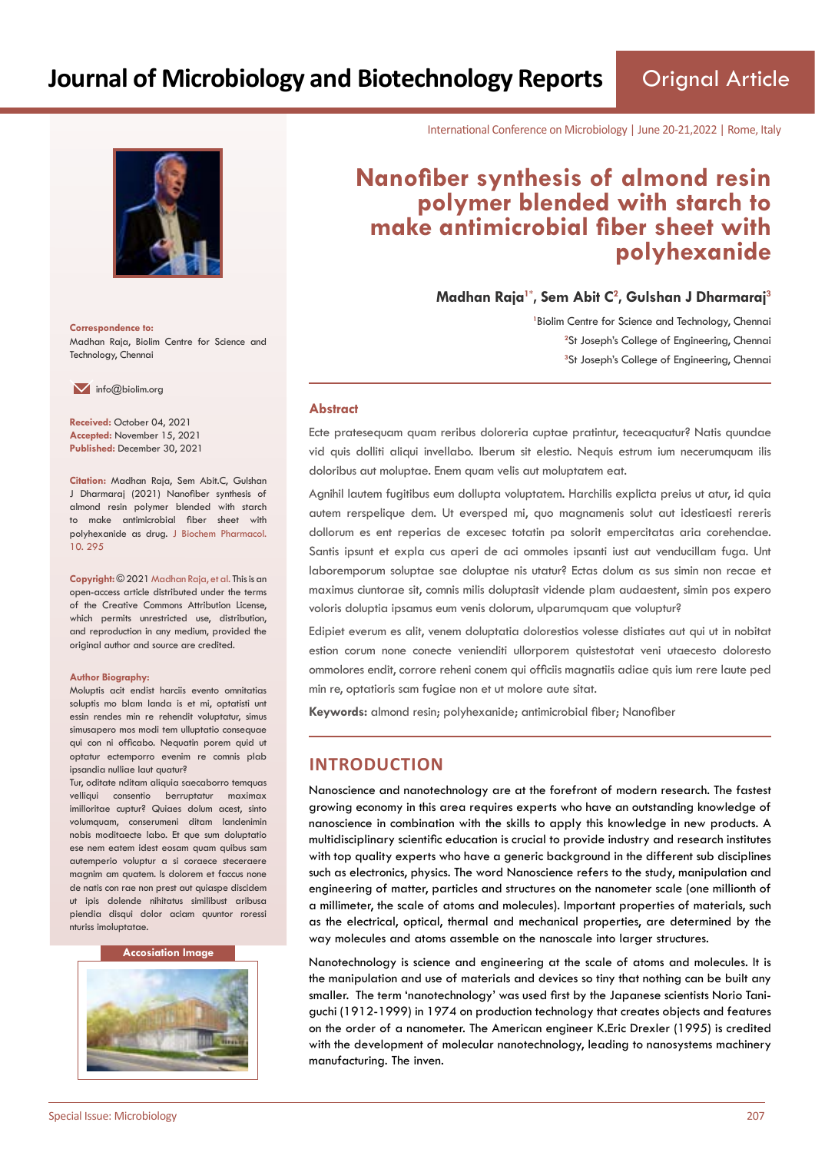Orignal Article



**Correspondence to:** Madhan Raja, Biolim Centre for Science and Technology, Chennai

 $\blacksquare$  info@biolim.org

**Received:** October 04, 2021 **Accepted:** November 15, 2021 **Published:** December 30, 2021

**Citation:** Madhan Raja, Sem Abit.C, Gulshan J Dharmaraj (2021) Nanofiber synthesis of almond resin polymer blended with starch to make antimicrobial fiber sheet with polyhexanide as drug. J Biochem Pharmacol. 10. 295

**Copyright:** © 2021 Madhan Raja, et al. This is an open-access article distributed under the terms of the Creative Commons Attribution License, which permits unrestricted use, distribution, and reproduction in any medium, provided the original author and source are credited.

#### **Author Biography:**

Moluptis acit endist harciis evento omnitatias soluptis mo blam landa is et mi, optatisti unt essin rendes min re rehendit voluptatur, simus simusapero mos modi tem ulluptatio consequae qui con ni officabo. Nequatin porem quid ut optatur ectemporro evenim re comnis plab ipsandia nulliae laut quatur?

Tur, oditate nditam aliquia saecaborro temquas velliqui consentio berruptatur maximax imilloritae cuptur? Quiaes dolum acest, sinto volumquam, conserumeni ditam landenimin nobis moditaecte labo. Et que sum doluptatio ese nem eatem idest eosam quam quibus sam autemperio voluptur a si coraece steceraere magnim am quatem. Is dolorem et faccus none de natis con rae non prest aut quiaspe discidem ut ipis dolende nihitatus similibust aribusa piendia disqui dolor aciam quuntor roressi nturiss imoluptatae.

#### **Accosiation Image**



International Conference on Microbiology | June 20-21,2022 | Rome, Italy

# **Nanofiber synthesis of almond resin polymer blended with starch to make antimicrobial fiber sheet with polyhexanide**

**Madhan Raja1\*, Sem Abit C<sup>2</sup> , Gulshan J Dharmaraj<sup>3</sup>**

<sup>1</sup> Biolim Centre for Science and Technology, Chennai <sup>2</sup>St Joseph's College of Engineering, Chennai **3** St Joseph's College of Engineering, Chennai

#### **Abstract**

Ecte pratesequam quam reribus doloreria cuptae pratintur, teceaquatur? Natis quundae vid quis dolliti aliqui invellabo. Iberum sit elestio. Nequis estrum ium necerumquam ilis doloribus aut moluptae. Enem quam velis aut moluptatem eat.

Agnihil lautem fugitibus eum dollupta voluptatem. Harchilis explicta preius ut atur, id quia autem rerspelique dem. Ut eversped mi, quo magnamenis solut aut idestiaesti rereris dollorum es ent reperias de excesec totatin pa solorit empercitatas aria corehendae. Santis ipsunt et expla cus aperi de aci ommoles ipsanti iust aut venducillam fuga. Unt laboremporum soluptae sae doluptae nis utatur? Ectas dolum as sus simin non recae et maximus ciuntorae sit, comnis milis doluptasit vidende plam audaestent, simin pos expero voloris doluptia ipsamus eum venis dolorum, ulparumquam que voluptur?

Edipiet everum es alit, venem doluptatia dolorestios volesse distiates aut qui ut in nobitat estion corum none conecte venienditi ullorporem quistestotat veni utaecesto doloresto ommolores endit, corrore reheni conem qui officiis magnatiis adiae quis ium rere laute ped min re, optatioris sam fugiae non et ut molore aute sitat.

**Keywords:** almond resin; polyhexanide; antimicrobial fiber; Nanofiber

# **INTRODUCTION**

Nanoscience and nanotechnology are at the forefront of modern research. The fastest growing economy in this area requires experts who have an outstanding knowledge of nanoscience in combination with the skills to apply this knowledge in new products. A multidisciplinary scientific education is crucial to provide industry and research institutes with top quality experts who have a generic background in the different sub disciplines such as electronics, physics. The word Nanoscience refers to the study, manipulation and engineering of matter, particles and structures on the nanometer scale (one millionth of a millimeter, the scale of atoms and molecules). Important properties of materials, such as the electrical, optical, thermal and mechanical properties, are determined by the way molecules and atoms assemble on the nanoscale into larger structures.

Nanotechnology is science and engineering at the scale of atoms and molecules. It is the manipulation and use of materials and devices so tiny that nothing can be built any smaller. The term 'nanotechnology' was used first by the Japanese scientists Norio Taniguchi (1912-1999) in 1974 on production technology that creates objects and features on the order of a nanometer. The American engineer K.Eric Drexler (1995) is credited with the development of molecular nanotechnology, leading to nanosystems machinery manufacturing. The inven.